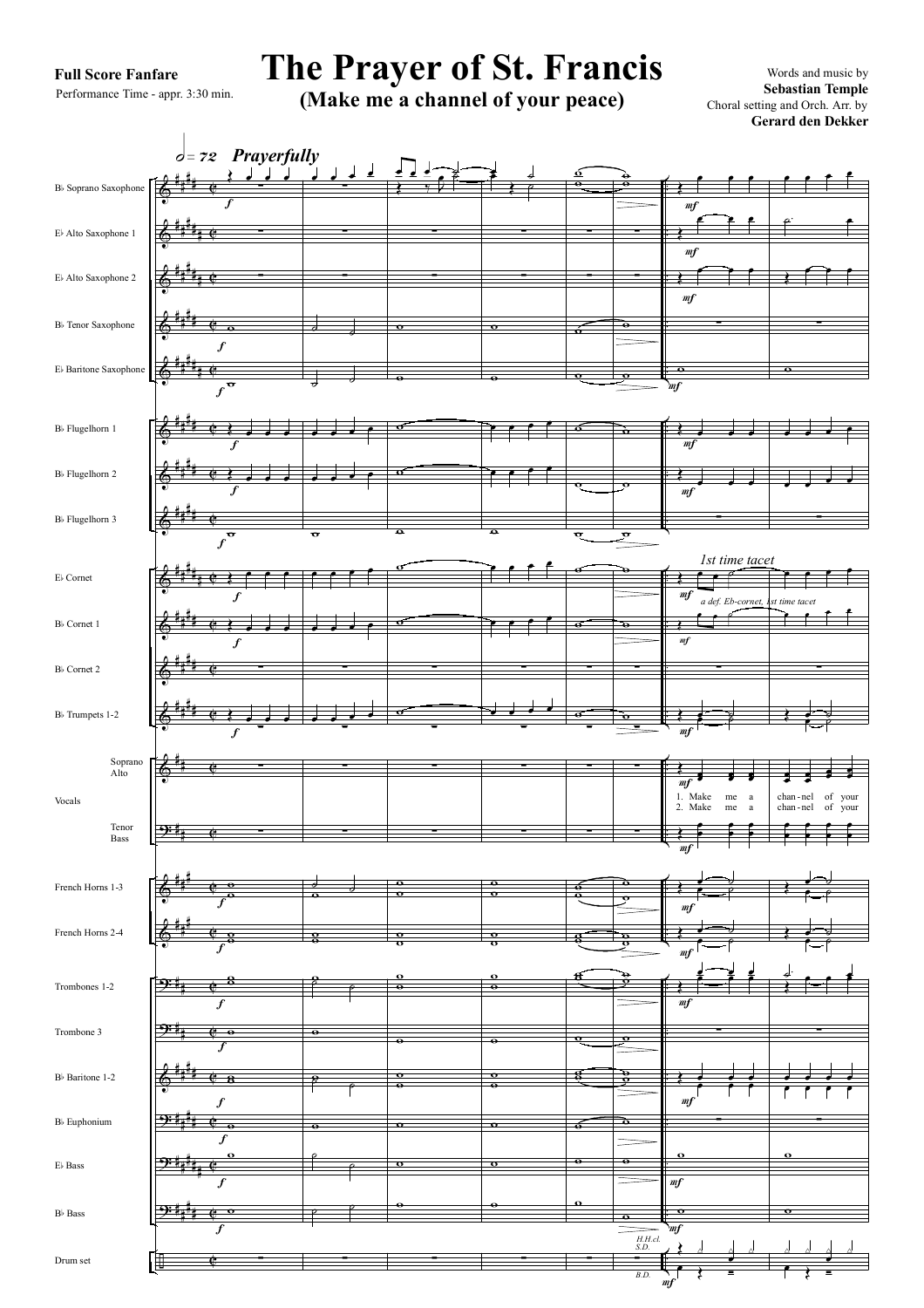## **Full Score Fanfare**

Performance Time - appr. 3:30 min.

## **The Prayer of St. Francis** Words and music by

**(Make me a channel of your peace)** Sebastian Temple Choral setting and Orch. Arr. by

**Gerard den Dekker** Choral setting and Orch. Arr. by

& & & & & & & & & & & & &  $9:1$ & & 9: 9: & 9: ? 9:4<u>4 c</u> ÷ # # # # # # # # # # # # # # # # # # # # # # # # # # # # # # # # # # # # # # # # # # # # # # # # # # # # # # # # # # # # # # # # # # # # # # # # # # # # # # ¢ ¢ ¢ ē  $\overline{c}$ C C ¢ ¢ ē ¢ C ¢ ¢ ¢ ¢ ē ¢  $\overline{a}$ C C ¢ . . . . . . . . . . . . . . . . . . . . . . . . . . . . . . . . . . . . . . . . . . . . . . B<sub>b</sub> Soprano Saxophon Eb Alto Saxophone 1 Eb Alto Saxophone 2 Bb Tenor Saxophone Eb Baritone Saxophone Bb Flugelhorn 1 Bb Flugelhorn 2 Bb Flugelhorn 3 Eb Cornet Bb Cornet 1 Bb Cornet 2 Bb Trumpets 1-2 Soprano Alto Tenor Bass French Horns 1-3 French Horns 2-4 Trombones 1-2 Trombone 3 Bb Baritone 1-2 Bb Euphonium Eb Bass Bb Bass Drum set Vocals  $\phi =$  *z*2 *Prayerfully* Œ  $\overline{f}$ <u>لمال</u>ى ∑ ∑ f w  $\mathbf f$  $\overline{f}$ Œ œ œ œ  $\overline{f}$ Œ œ œ œ f w f  $\left( \begin{array}{cc} 0 & 0 \\ 0 & 0 \end{array} \right)$ f Œ œ œ œ ∑ f  $\frac{2}{f}$ . ∑ ∑  $\overline{f}$ w w f w w f  $\frac{8}{5}$ f w f 8 f w f w f  $\overline{\mathbf{c}}$ ∑ <sup>œ</sup> <sup>œ</sup> <sup>œ</sup> <sup>œ</sup> <sup>∑</sup> ∑ ∑  $\overline{\phantom{a}}$   $\overline{\phantom{a}}$  $\overline{\phantom{a}}$  $\overline{\phantom{a}}$ .  $\overline{\phantom{a}}$ w œ œ œ œ  $\overline{\phantom{a}}$ ∑ <sup>œ</sup> <sup>œ</sup> <sup>œ</sup> <sup>œ</sup> <sup>∑</sup> ∑ ∑ 。<br>。 。 o<br>S w  $\frac{8}{\rho}$ w  $\frac{8}{\rho}$ w  $^{\circ}$   $^{\circ}$  $\overline{P}$ ∑ <sup>œ</sup> <sup>œ</sup> <sup>œ</sup> ˙ Œ ‰Jœ ˙ ∑ ∑ w w w w w w w ∑ w ∑ ∑ ∑ w  $\frac{6}{10}$ w  $\frac{0}{\sigma}$ w  $\frac{6}{10}$ w w w w w  $\bullet$ ∑ œ **≢**<br>■ *∉* ∑ ∑ w w œ œ œ œ œ œ œ œ w  $\overline{e}$   $\overline{e}$   $\overline{e}$   $\overline{e}$ œ œ œ œ ∑ **。。。。** ∑ ∑ ∑ w  $\frac{6}{10}$ w  $\frac{0}{\sigma}$ w  $\frac{6}{10}$ w w w w w  $\bullet$ ∑  $\acute{\circ}$  $\frac{6}{9}$ ∑ ∑ w w w w w w w ∑ w ∑ ∑ ∑  $\frac{1}{\mathbf{e}}$  $\frac{\mathbf{e}}{\mathbf{e}}$  $\overline{\mathbf{g}}$  $\frac{8}{3}$ w 8<br>S w  $\overline{\mathbf{e}}$ w ∑  $\frac{1}{\mathbf{e}}$  $\frac{1}{\mathbf{e}}$ ∑ ∑ w w ò  $\overline{\mathbf{e}}$ w w w ∑ w ∑ ∑ ∑ w w w  $\frac{6}{5}$  $\frac{1}{2}$  $\frac{1}{2}$  $\overline{\cdot}$  $\frac{1}{2}$  $\frac{1}{2}$ w  $\overline{\mathbf{e}}$ w ∑ Œ  $m<sub>f</sub>$ œ œ œ Œ  $m f$  $\overline{e}$ Œ  $m f$  $\overline{\phantom{a}}$ ∑ mf w Œ  $\frac{e}{m f}$   $\frac{e}{m f}$ Œ  $\frac{1}{m}$   $\frac{1}{m}$   $\frac{1}{m}$   $\frac{1}{m}$   $\frac{1}{m}$   $\frac{1}{m}$   $\frac{1}{m}$   $\frac{1}{m}$   $\frac{1}{m}$   $\frac{1}{m}$   $\frac{1}{m}$   $\frac{1}{m}$   $\frac{1}{m}$   $\frac{1}{m}$   $\frac{1}{m}$   $\frac{1}{m}$   $\frac{1}{m}$   $\frac{1}{m}$   $\frac{1}{m}$   $\frac{1}{m}$   $\frac{1}{m}$   $\frac{1}{m}$  ∑ Œ *1st time tacet*  $m<sub>f</sub>$  $\bullet$ Œ F *a def. Eb-cornet, 1st time tacet* <u>⊷ </u> ∑ mf  $\leftarrow$   $\overline{\phantom{0}}$ Œ  $\overline{mf}$  $\cdot$   $\cdot$  $\overline{\phantom{a}}$ œ 1. 2. Make Make me  $m<sub>6</sub>$ a Œ mf œ  $\colon$   $\colon$  $\dddot{\bullet}$ œ  $m f$ <sup>œ</sup> ˙ <sup>Œ</sup> <sup>œ</sup> ˙  $\overline{m}$ چ مخ<br>م  $m<sub>f</sub>$  $\frac{1}{2}$ ∑ mf  $\leftrightarrow$ ∑  $\frac{m}{f}$ w mf w *H.H.cl.*<br> *S.D.*  $\leftarrow$  1  $\eta f$ œ *B.D.*  $\overline{\mathbf{c}^{\mathbf{r}}$  $\cdot$   $\cdot$   $\cdot$   $\cdot$  $\theta$ <sup>.</sup>  $\sum_{i=1}^{n}$ ∑ w  $\overline{\phantom{a}}$  $\overline{\phantom{a}}$ ∑ œ œ œ œ me tacer<br>e e f f ∑ Œ œ ˙ œ ˙ œ  $: \cdot$ <sup>œ</sup> <sup>œ</sup>  $\overline{\cdot}$ œ chan - chan - nel nel of of your your œ œ œ œ œ  $\dddot{\ }$ œ <sup>œ</sup> ˙ <sup>Œ</sup> <sup>œ</sup> ˙ <sup>Œ</sup> <sup>œ</sup> ˙ <sup>œ</sup> ˙ ˙. <sup>œ</sup> <sup>Œ</sup> <sup>œ</sup> <sup>œ</sup> <sup>œ</sup> ∑ . . . . . ∑ w w <u>y y y</u><br>External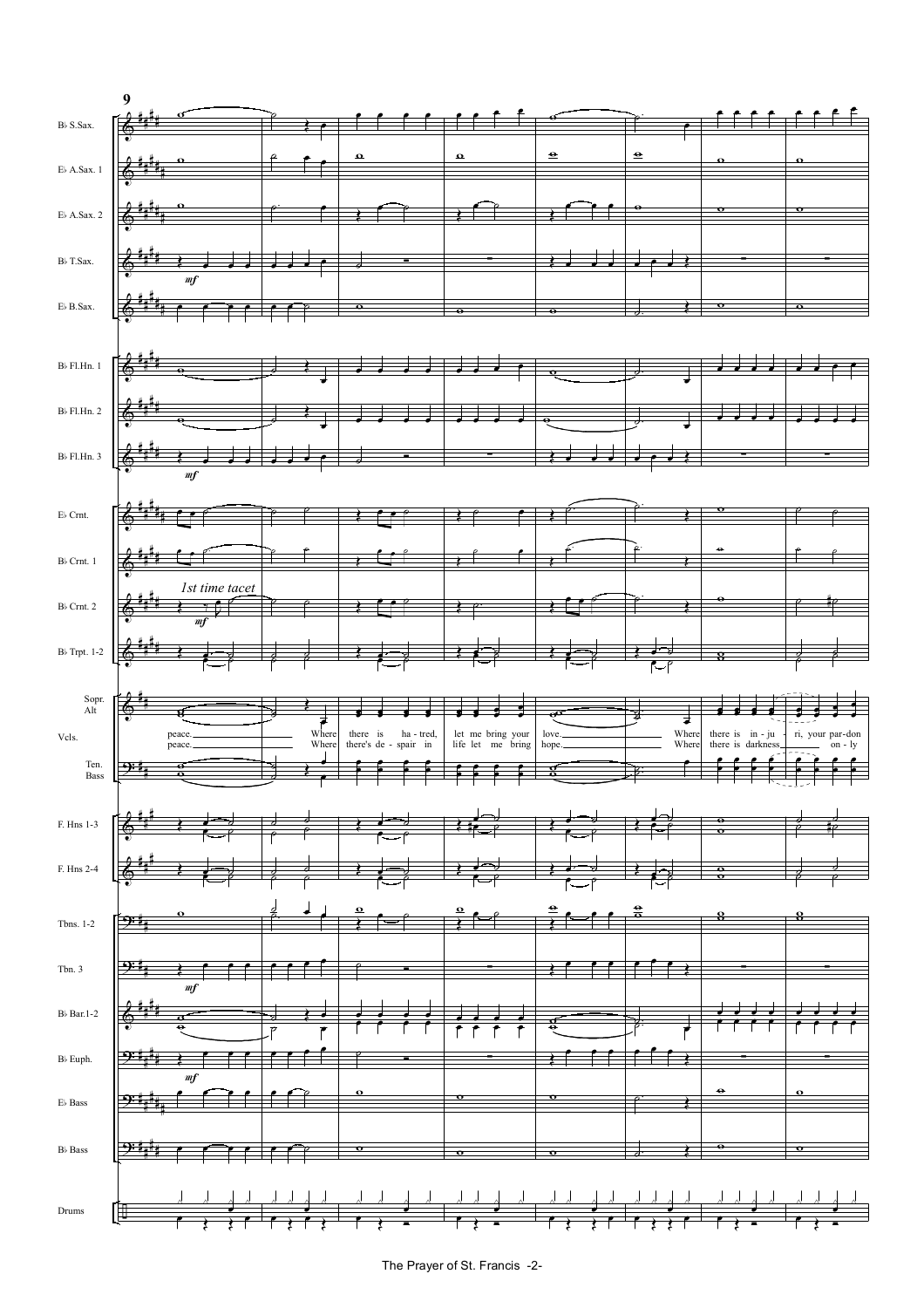

The Prayer of St. Francis -2-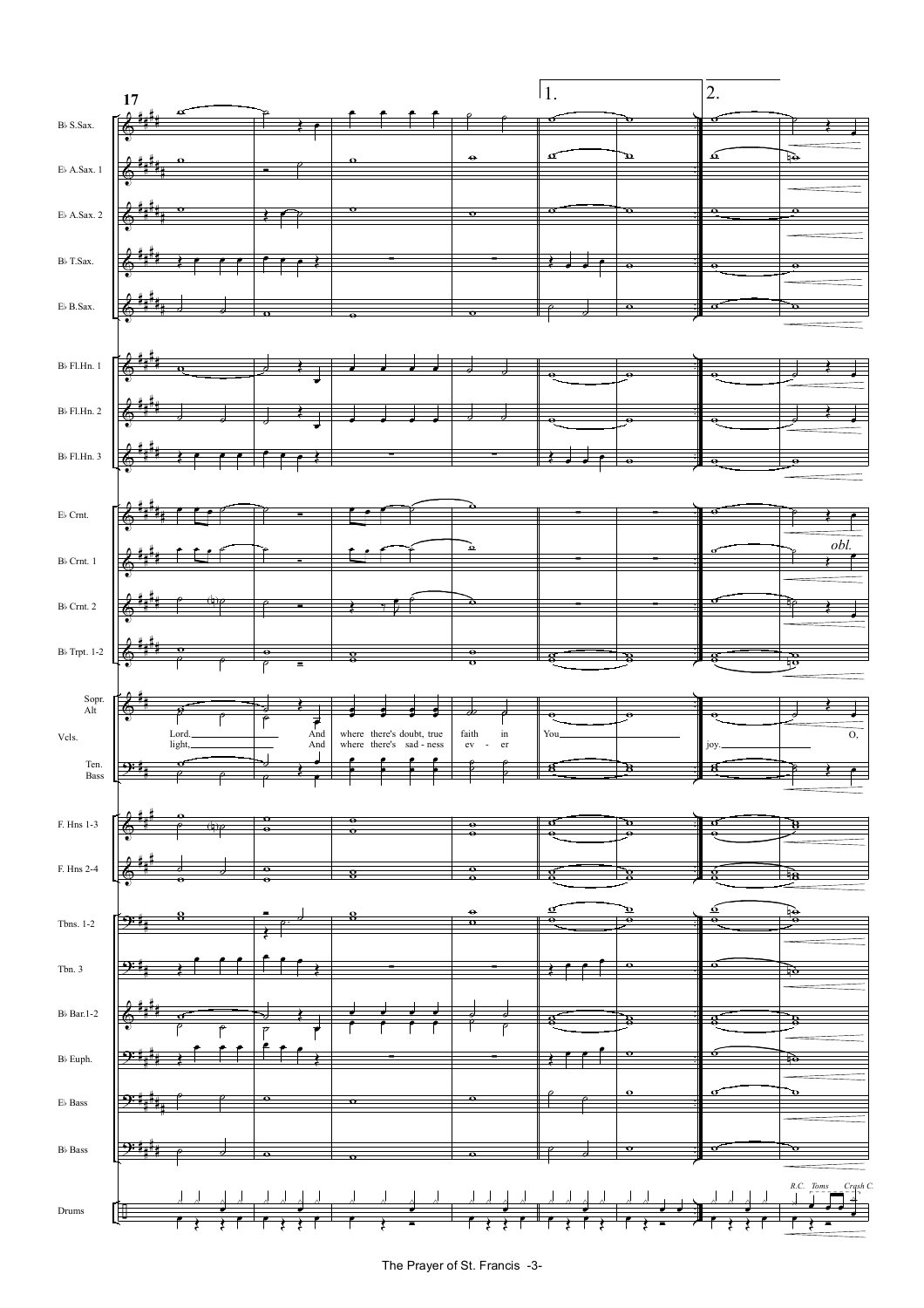

The Prayer of St. Francis -3-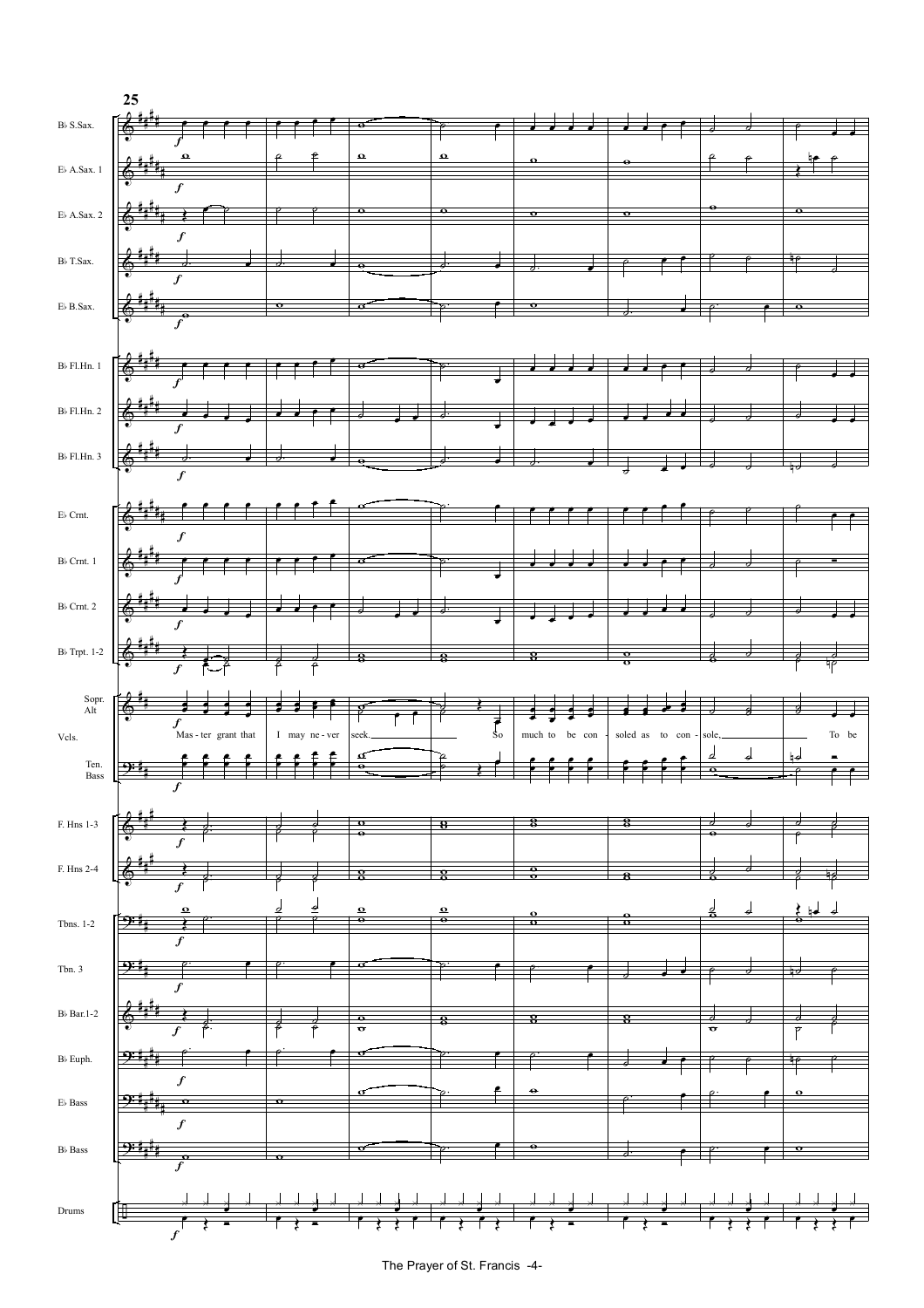![](_page_3_Figure_0.jpeg)

The Prayer of St. Francis -4-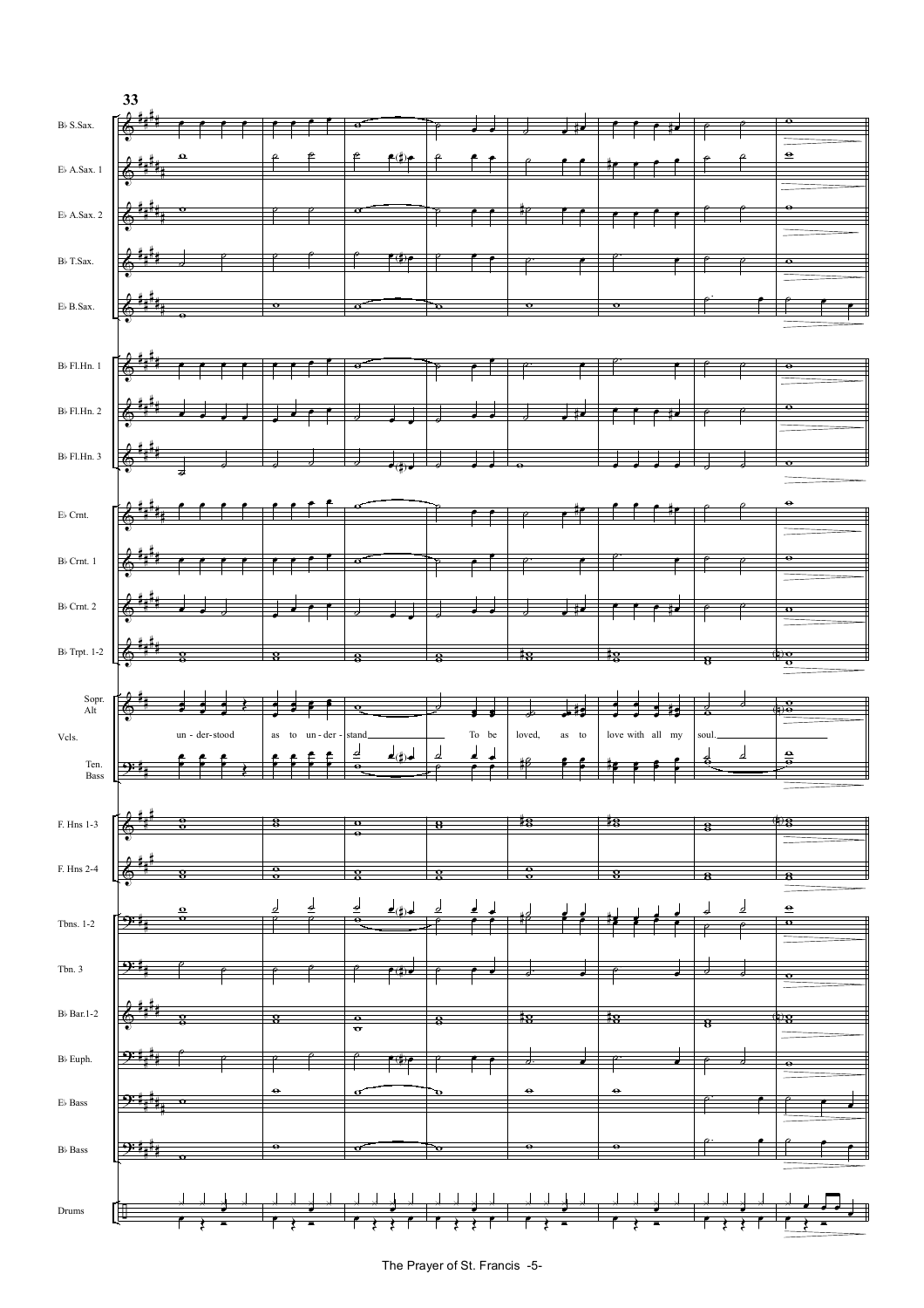![](_page_4_Figure_0.jpeg)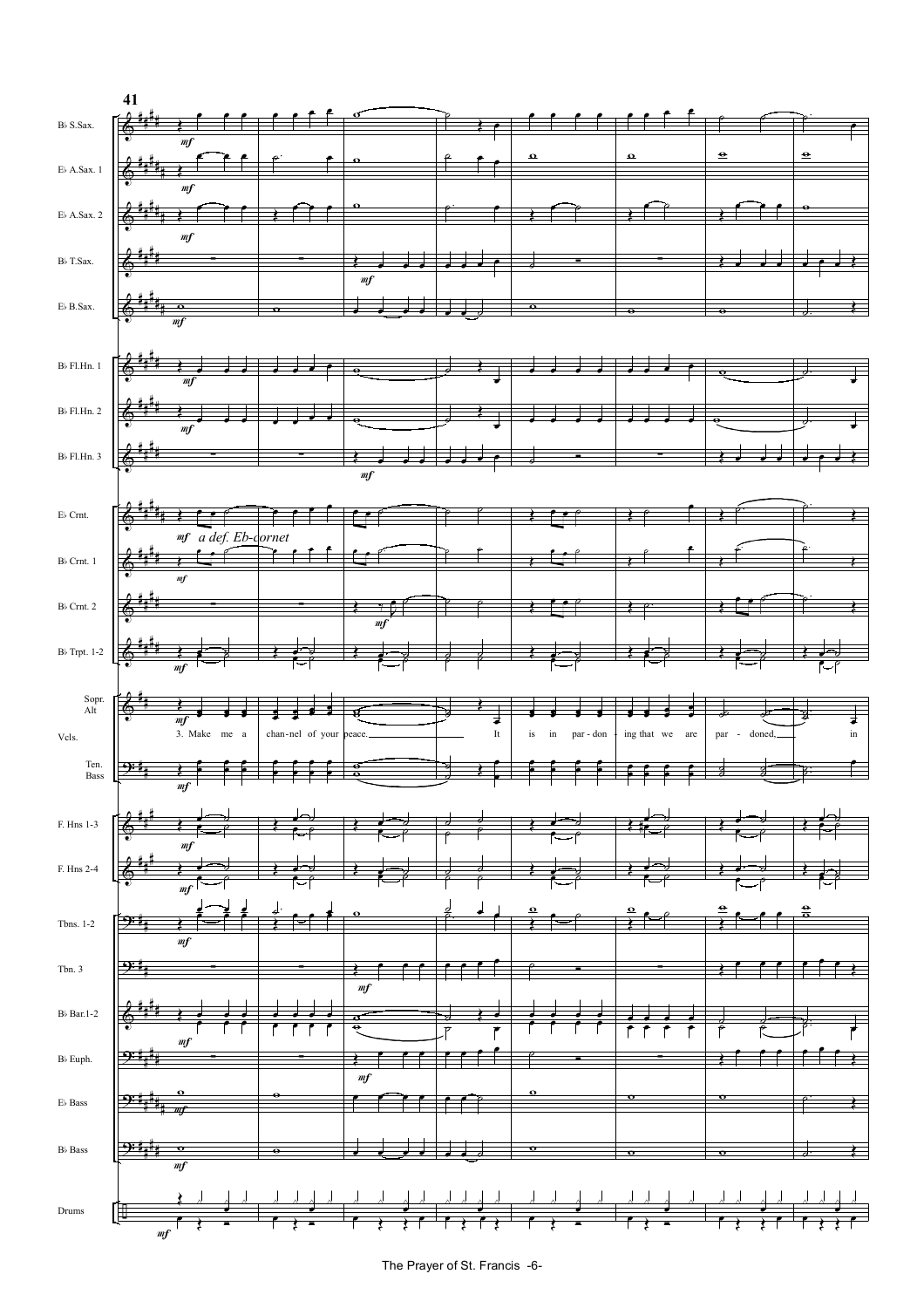![](_page_5_Figure_0.jpeg)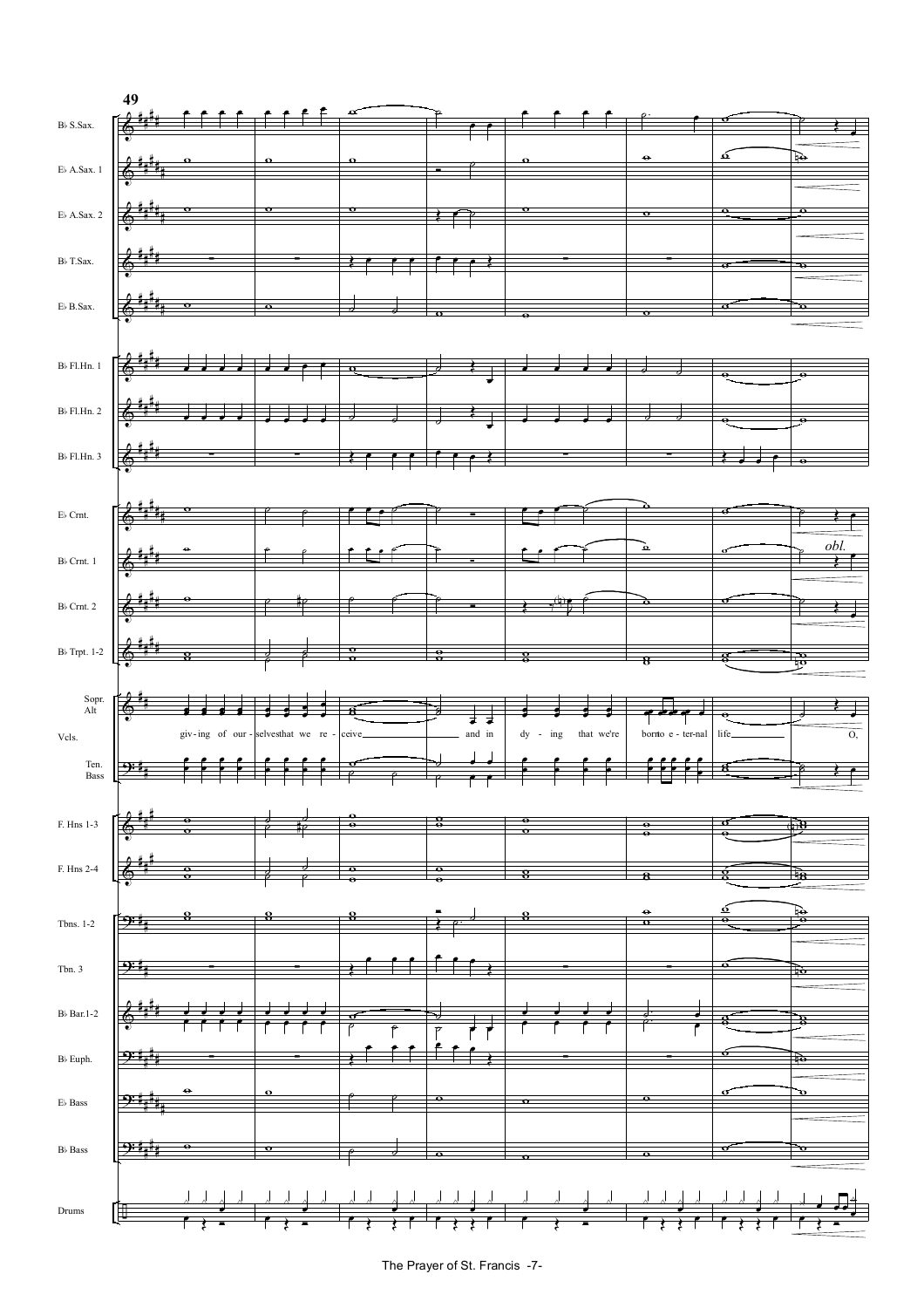![](_page_6_Figure_0.jpeg)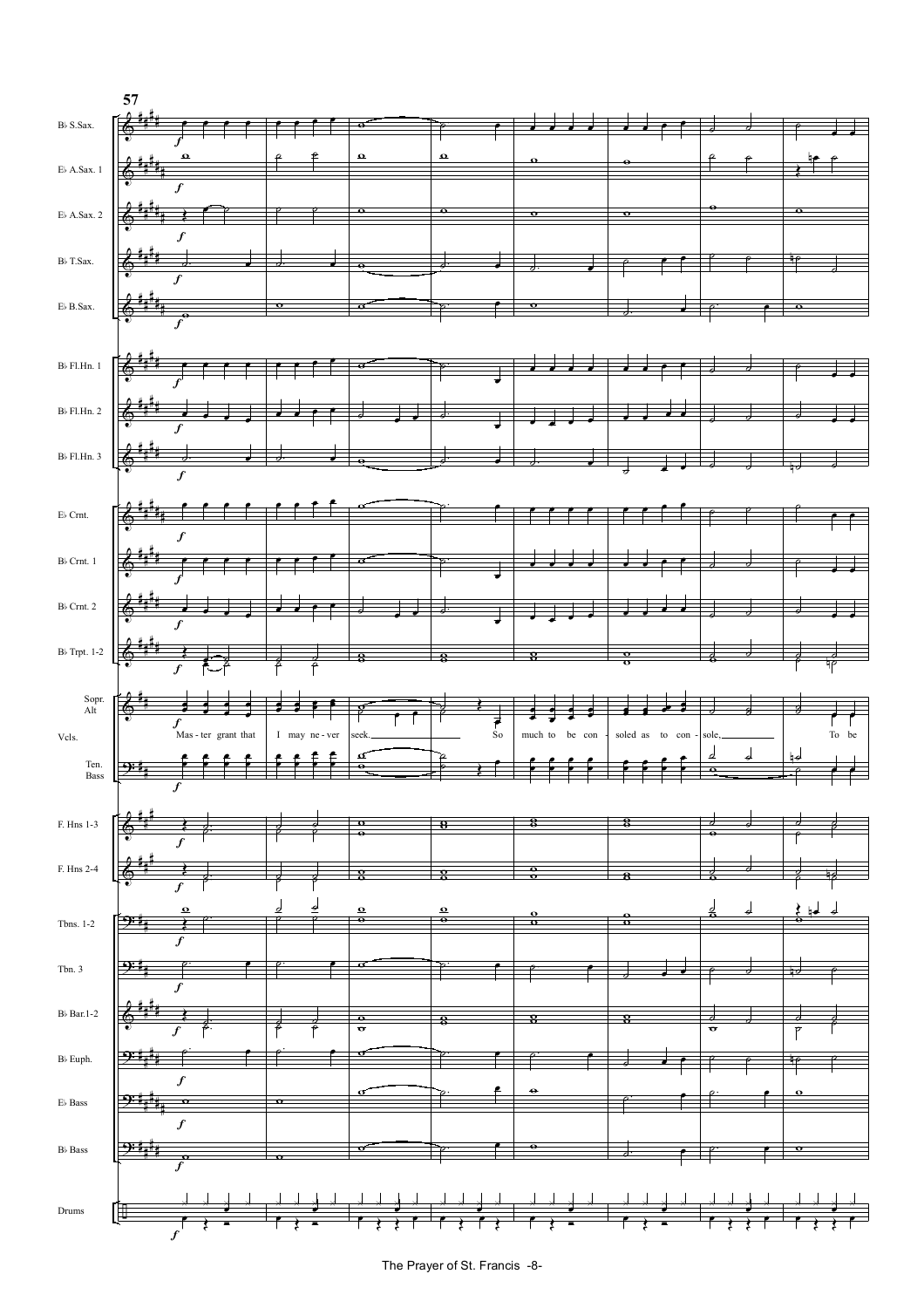![](_page_7_Figure_0.jpeg)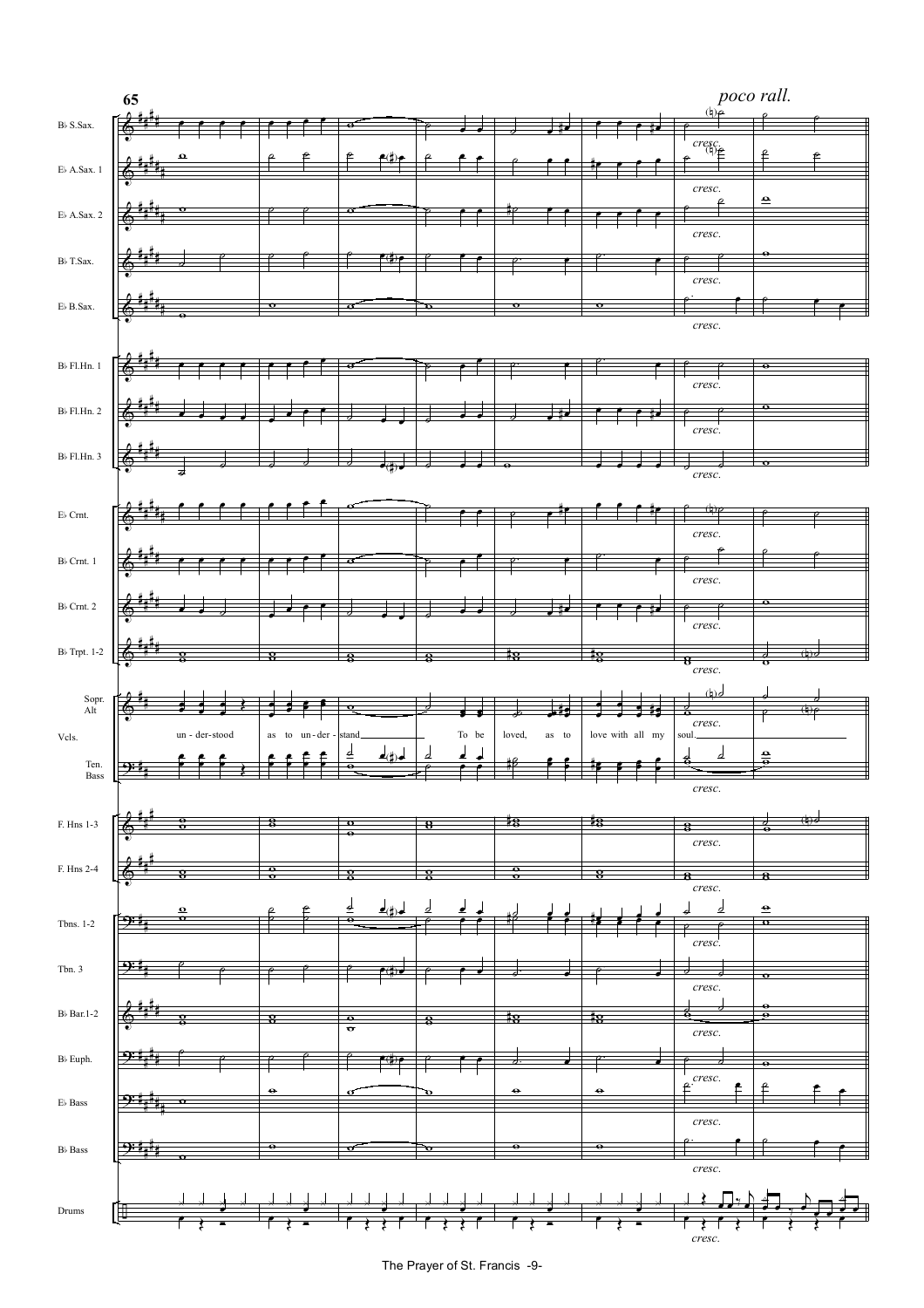![](_page_8_Figure_0.jpeg)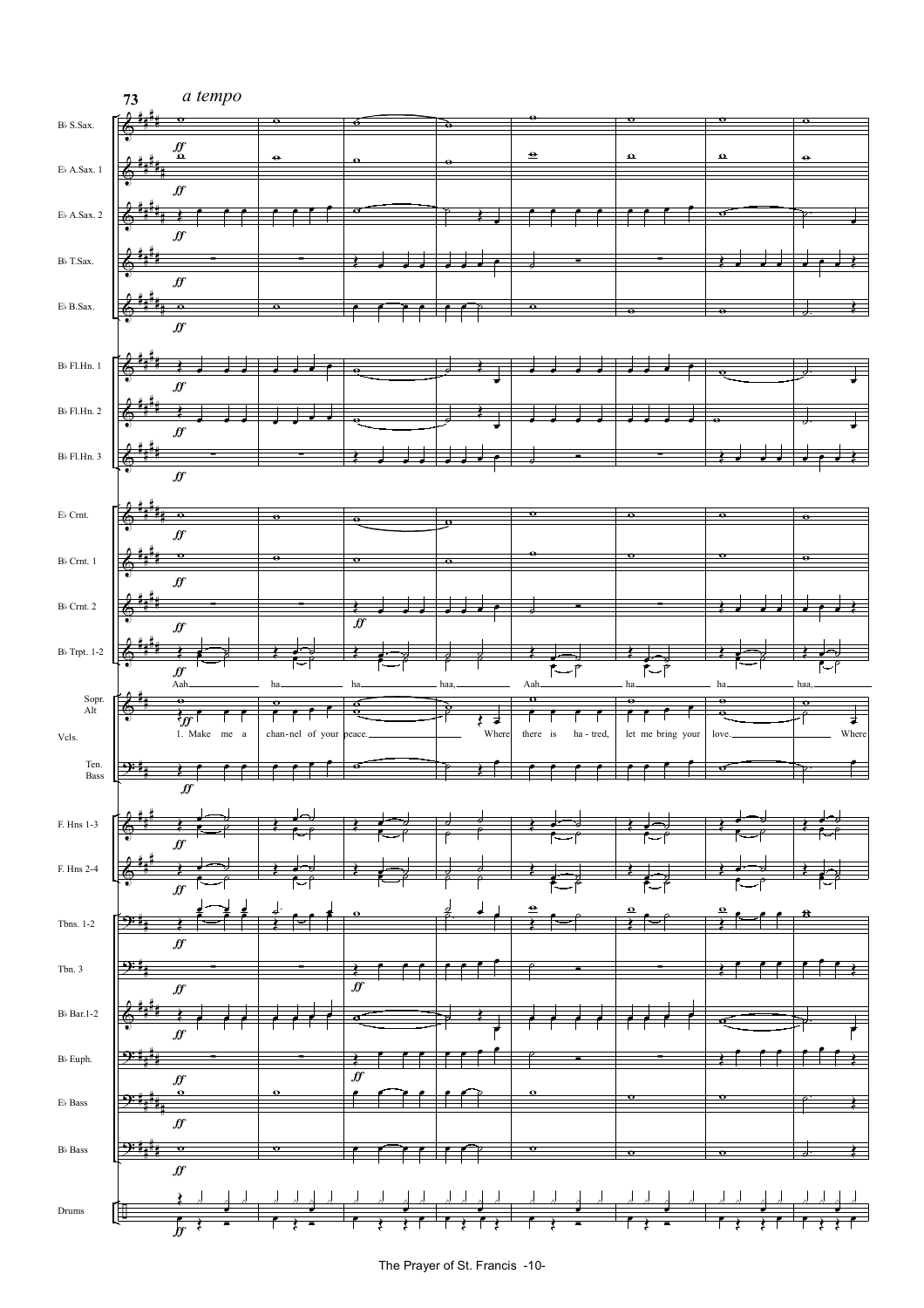![](_page_9_Figure_0.jpeg)

The Prayer of St. Francis -10-